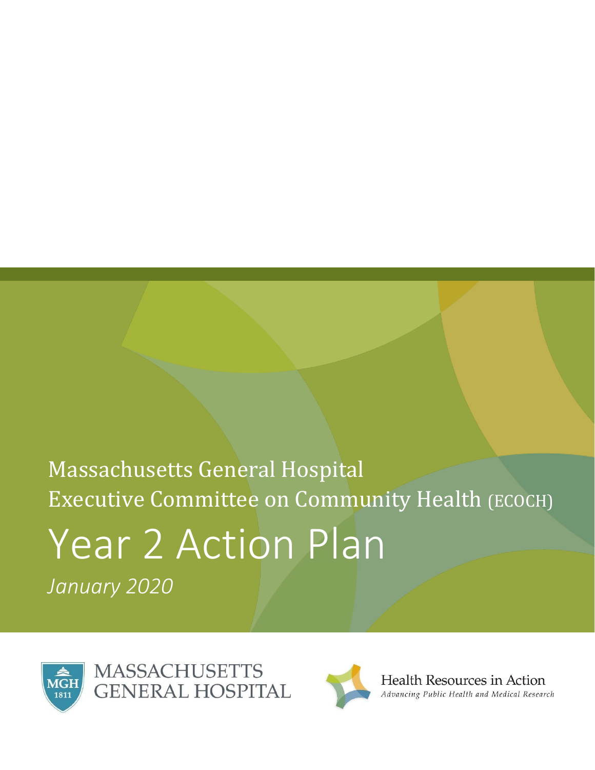# Massachusetts General Hospital Executive Committee on Community Health (ECOCH) Year 2 Action Plan *January 2020*



**MASSACHUSETTS GENERAL HOSPITAL** 



**Health Resources in Action** Advancing Public Health and Medical Research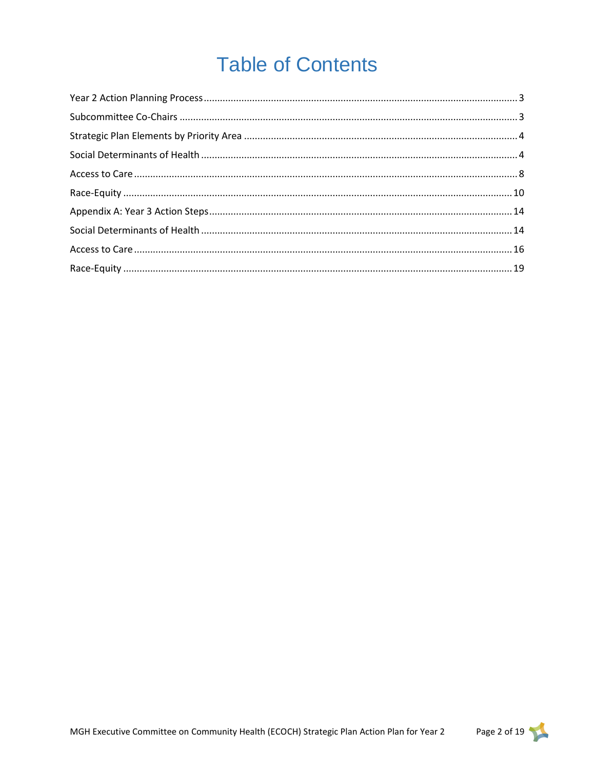## **Table of Contents**

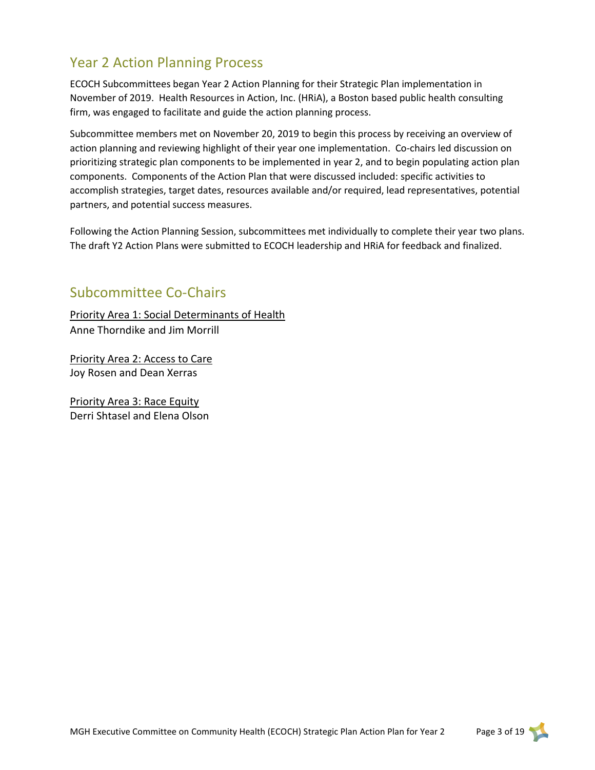#### <span id="page-2-0"></span>Year 2 Action Planning Process

ECOCH Subcommittees began Year 2 Action Planning for their Strategic Plan implementation in November of 2019. Health Resources in Action, Inc. (HRiA), a Boston based public health consulting firm, was engaged to facilitate and guide the action planning process.

Subcommittee members met on November 20, 2019 to begin this process by receiving an overview of action planning and reviewing highlight of their year one implementation. Co-chairs led discussion on prioritizing strategic plan components to be implemented in year 2, and to begin populating action plan components. Components of the Action Plan that were discussed included: specific activities to accomplish strategies, target dates, resources available and/or required, lead representatives, potential partners, and potential success measures.

Following the Action Planning Session, subcommittees met individually to complete their year two plans. The draft Y2 Action Plans were submitted to ECOCH leadership and HRiA for feedback and finalized.

#### <span id="page-2-1"></span>Subcommittee Co-Chairs

Priority Area 1: Social Determinants of Health Anne Thorndike and Jim Morrill

Priority Area 2: Access to Care Joy Rosen and Dean Xerras

Priority Area 3: Race Equity Derri Shtasel and Elena Olson

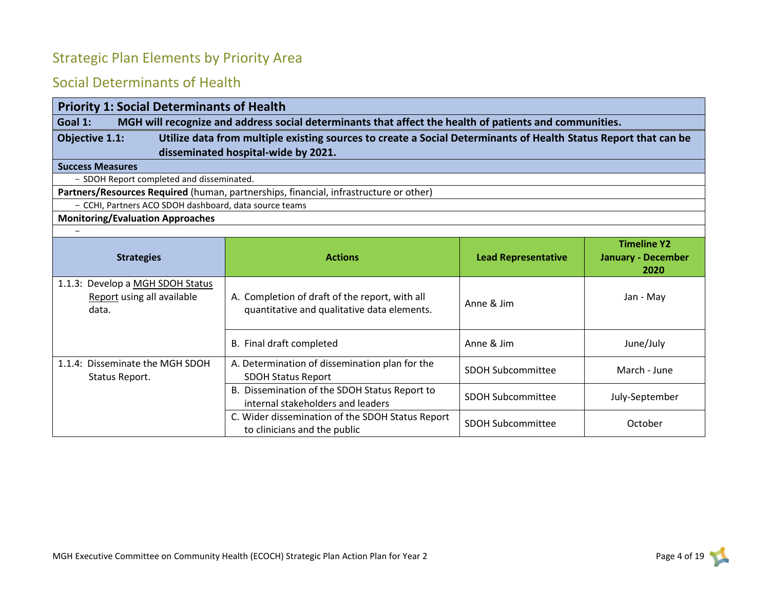### Strategic Plan Elements by Priority Area

#### Social Determinants of Health

<span id="page-3-1"></span><span id="page-3-0"></span>

| <b>Priority 1: Social Determinants of Health</b>                        |                                                                                                                 |                            |                                                         |
|-------------------------------------------------------------------------|-----------------------------------------------------------------------------------------------------------------|----------------------------|---------------------------------------------------------|
| Goal 1:                                                                 | MGH will recognize and address social determinants that affect the health of patients and communities.          |                            |                                                         |
| Objective 1.1:                                                          | Utilize data from multiple existing sources to create a Social Determinants of Health Status Report that can be |                            |                                                         |
|                                                                         | disseminated hospital-wide by 2021.                                                                             |                            |                                                         |
| <b>Success Measures</b>                                                 |                                                                                                                 |                            |                                                         |
| - SDOH Report completed and disseminated.                               |                                                                                                                 |                            |                                                         |
|                                                                         | Partners/Resources Required (human, partnerships, financial, infrastructure or other)                           |                            |                                                         |
| - CCHI, Partners ACO SDOH dashboard, data source teams                  |                                                                                                                 |                            |                                                         |
| <b>Monitoring/Evaluation Approaches</b>                                 |                                                                                                                 |                            |                                                         |
|                                                                         |                                                                                                                 |                            |                                                         |
| <b>Strategies</b>                                                       | <b>Actions</b>                                                                                                  | <b>Lead Representative</b> | <b>Timeline Y2</b><br><b>January - December</b><br>2020 |
| 1.1.3: Develop a MGH SDOH Status<br>Report using all available<br>data. | A. Completion of draft of the report, with all<br>quantitative and qualitative data elements.                   | Anne & Jim                 | Jan - May                                               |
|                                                                         | B. Final draft completed                                                                                        | Anne & Jim                 | June/July                                               |
| 1.1.4: Disseminate the MGH SDOH<br>Status Report.                       | A. Determination of dissemination plan for the<br><b>SDOH Status Report</b>                                     | <b>SDOH Subcommittee</b>   | March - June                                            |
|                                                                         | B. Dissemination of the SDOH Status Report to<br>internal stakeholders and leaders                              | <b>SDOH Subcommittee</b>   | July-September                                          |
|                                                                         | C. Wider dissemination of the SDOH Status Report<br>to clinicians and the public                                | <b>SDOH Subcommittee</b>   | October                                                 |



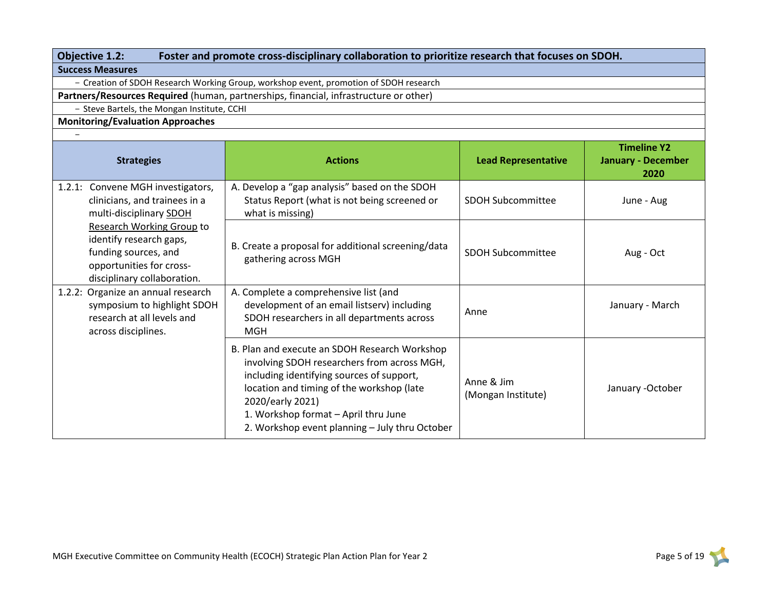| Foster and promote cross-disciplinary collaboration to prioritize research that focuses on SDOH.<br><b>Objective 1.2:</b>               |                                                                                                                                                                                                                                                                                                      |                                  |                                                         |
|-----------------------------------------------------------------------------------------------------------------------------------------|------------------------------------------------------------------------------------------------------------------------------------------------------------------------------------------------------------------------------------------------------------------------------------------------------|----------------------------------|---------------------------------------------------------|
| <b>Success Measures</b>                                                                                                                 |                                                                                                                                                                                                                                                                                                      |                                  |                                                         |
|                                                                                                                                         | - Creation of SDOH Research Working Group, workshop event, promotion of SDOH research                                                                                                                                                                                                                |                                  |                                                         |
|                                                                                                                                         | Partners/Resources Required (human, partnerships, financial, infrastructure or other)                                                                                                                                                                                                                |                                  |                                                         |
| - Steve Bartels, the Mongan Institute, CCHI                                                                                             |                                                                                                                                                                                                                                                                                                      |                                  |                                                         |
| <b>Monitoring/Evaluation Approaches</b>                                                                                                 |                                                                                                                                                                                                                                                                                                      |                                  |                                                         |
|                                                                                                                                         |                                                                                                                                                                                                                                                                                                      |                                  |                                                         |
| <b>Strategies</b>                                                                                                                       | <b>Actions</b>                                                                                                                                                                                                                                                                                       | <b>Lead Representative</b>       | <b>Timeline Y2</b><br><b>January - December</b><br>2020 |
| 1.2.1: Convene MGH investigators,<br>clinicians, and trainees in a<br>multi-disciplinary SDOH                                           | A. Develop a "gap analysis" based on the SDOH<br>Status Report (what is not being screened or<br>what is missing)                                                                                                                                                                                    | <b>SDOH Subcommittee</b>         | June - Aug                                              |
| Research Working Group to<br>identify research gaps,<br>funding sources, and<br>opportunities for cross-<br>disciplinary collaboration. | B. Create a proposal for additional screening/data<br>gathering across MGH                                                                                                                                                                                                                           | <b>SDOH Subcommittee</b>         | Aug - Oct                                               |
| 1.2.2: Organize an annual research<br>symposium to highlight SDOH<br>research at all levels and<br>across disciplines.                  | A. Complete a comprehensive list (and<br>development of an email listserv) including<br>SDOH researchers in all departments across<br><b>MGH</b>                                                                                                                                                     | Anne                             | January - March                                         |
|                                                                                                                                         | B. Plan and execute an SDOH Research Workshop<br>involving SDOH researchers from across MGH,<br>including identifying sources of support,<br>location and timing of the workshop (late<br>2020/early 2021)<br>1. Workshop format - April thru June<br>2. Workshop event planning - July thru October | Anne & Jim<br>(Mongan Institute) | January - October                                       |



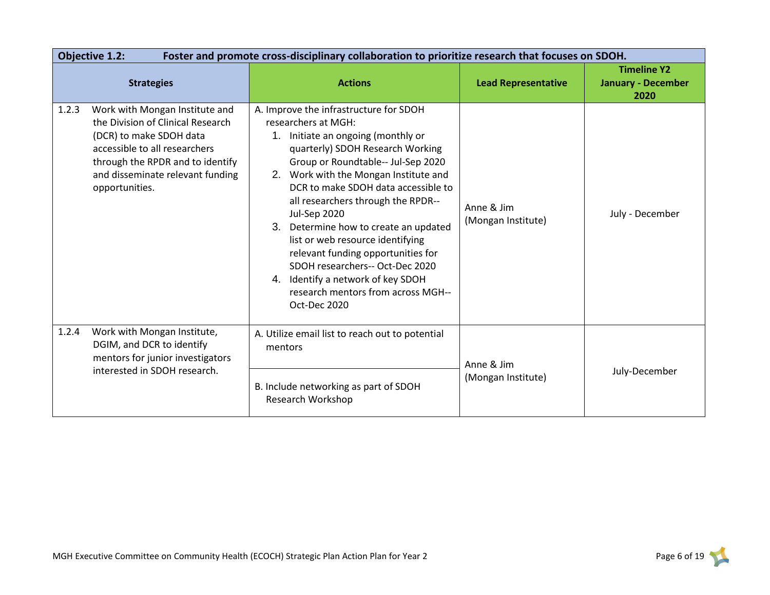|       | <b>Objective 1.2:</b>                                                                                                                                                                                                     | Foster and promote cross-disciplinary collaboration to prioritize research that focuses on SDOH.                                                                                                                                                                                                                                                                                                                                                                                                                                                                            |                                  |                                                         |
|-------|---------------------------------------------------------------------------------------------------------------------------------------------------------------------------------------------------------------------------|-----------------------------------------------------------------------------------------------------------------------------------------------------------------------------------------------------------------------------------------------------------------------------------------------------------------------------------------------------------------------------------------------------------------------------------------------------------------------------------------------------------------------------------------------------------------------------|----------------------------------|---------------------------------------------------------|
|       | <b>Strategies</b>                                                                                                                                                                                                         | <b>Actions</b>                                                                                                                                                                                                                                                                                                                                                                                                                                                                                                                                                              | <b>Lead Representative</b>       | <b>Timeline Y2</b><br><b>January - December</b><br>2020 |
| 1.2.3 | Work with Mongan Institute and<br>the Division of Clinical Research<br>(DCR) to make SDOH data<br>accessible to all researchers<br>through the RPDR and to identify<br>and disseminate relevant funding<br>opportunities. | A. Improve the infrastructure for SDOH<br>researchers at MGH:<br>1. Initiate an ongoing (monthly or<br>quarterly) SDOH Research Working<br>Group or Roundtable-- Jul-Sep 2020<br>2. Work with the Mongan Institute and<br>DCR to make SDOH data accessible to<br>all researchers through the RPDR--<br><b>Jul-Sep 2020</b><br>3. Determine how to create an updated<br>list or web resource identifying<br>relevant funding opportunities for<br>SDOH researchers-- Oct-Dec 2020<br>4. Identify a network of key SDOH<br>research mentors from across MGH--<br>Oct-Dec 2020 | Anne & Jim<br>(Mongan Institute) | July - December                                         |
| 1.2.4 | Work with Mongan Institute,<br>DGIM, and DCR to identify<br>mentors for junior investigators                                                                                                                              | A. Utilize email list to reach out to potential<br>mentors                                                                                                                                                                                                                                                                                                                                                                                                                                                                                                                  | Anne & Jim                       |                                                         |
|       | interested in SDOH research.                                                                                                                                                                                              | B. Include networking as part of SDOH<br>Research Workshop                                                                                                                                                                                                                                                                                                                                                                                                                                                                                                                  | (Mongan Institute)               | July-December                                           |

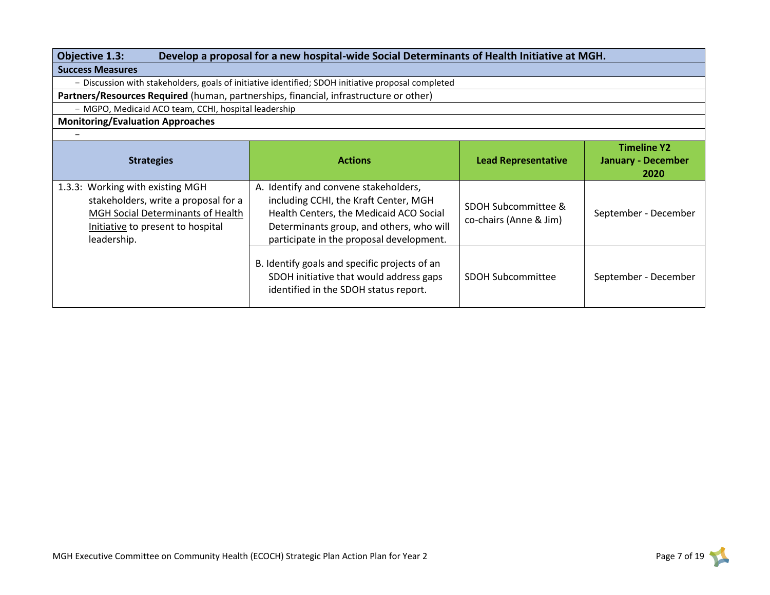#### **Objective 1.3: Develop a proposal for a new hospital-wide Social Determinants of Health Initiative at MGH.**

#### **Success Measures**

-

- Discussion with stakeholders, goals of initiative identified; SDOH initiative proposal completed

**Partners/Resources Required** (human, partnerships, financial, infrastructure or other)

- MGPO, Medicaid ACO team, CCHI, hospital leadership

| <b>Strategies</b>                                                                                                                                                 | <b>Actions</b>                                                                                                                                                                                                    | <b>Lead Representative</b>                    | <b>Timeline Y2</b><br><b>January - December</b><br>2020 |
|-------------------------------------------------------------------------------------------------------------------------------------------------------------------|-------------------------------------------------------------------------------------------------------------------------------------------------------------------------------------------------------------------|-----------------------------------------------|---------------------------------------------------------|
| 1.3.3: Working with existing MGH<br>stakeholders, write a proposal for a<br>MGH Social Determinants of Health<br>Initiative to present to hospital<br>leadership. | A. Identify and convene stakeholders,<br>including CCHI, the Kraft Center, MGH<br>Health Centers, the Medicaid ACO Social<br>Determinants group, and others, who will<br>participate in the proposal development. | SDOH Subcommittee &<br>co-chairs (Anne & Jim) | September - December                                    |
|                                                                                                                                                                   | B. Identify goals and specific projects of an<br>SDOH initiative that would address gaps<br>identified in the SDOH status report.                                                                                 | <b>SDOH Subcommittee</b>                      | September - December                                    |

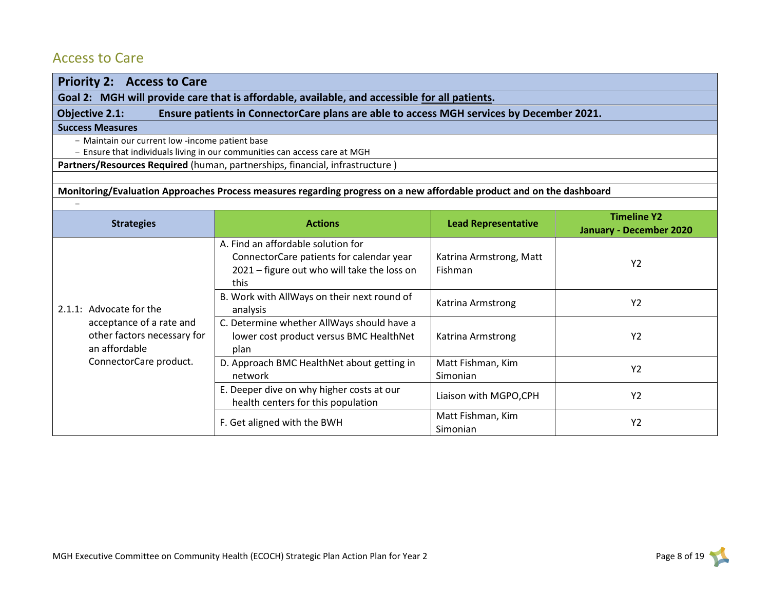#### Access to Care

<span id="page-7-0"></span>

| <b>Priority 2: Access to Care</b>               |                                                                                                                       |                            |                                |
|-------------------------------------------------|-----------------------------------------------------------------------------------------------------------------------|----------------------------|--------------------------------|
|                                                 | Goal 2: MGH will provide care that is affordable, available, and accessible for all patients.                         |                            |                                |
| <b>Objective 2.1:</b>                           | Ensure patients in ConnectorCare plans are able to access MGH services by December 2021.                              |                            |                                |
| <b>Success Measures</b>                         |                                                                                                                       |                            |                                |
| - Maintain our current low -income patient base |                                                                                                                       |                            |                                |
|                                                 | - Ensure that individuals living in our communities can access care at MGH                                            |                            |                                |
|                                                 | Partners/Resources Required (human, partnerships, financial, infrastructure)                                          |                            |                                |
|                                                 |                                                                                                                       |                            |                                |
|                                                 | Monitoring/Evaluation Approaches Process measures regarding progress on a new affordable product and on the dashboard |                            |                                |
|                                                 |                                                                                                                       |                            | <b>Timeline Y2</b>             |
| <b>Strategies</b>                               | <b>Actions</b>                                                                                                        | <b>Lead Representative</b> | <b>January - December 2020</b> |
|                                                 | A. Find an affordable solution for                                                                                    |                            |                                |
|                                                 |                                                                                                                       |                            |                                |
|                                                 | ConnectorCare patients for calendar year                                                                              | Katrina Armstrong, Matt    | Y <sub>2</sub>                 |
|                                                 | 2021 - figure out who will take the loss on                                                                           | Fishman                    |                                |
|                                                 | this                                                                                                                  |                            |                                |
|                                                 | B. Work with AllWays on their next round of                                                                           | <b>Katrina Armstrong</b>   | Y <sub>2</sub>                 |
| 2.1.1: Advocate for the                         | analysis                                                                                                              |                            |                                |
| acceptance of a rate and                        | C. Determine whether AllWays should have a                                                                            |                            |                                |
| other factors necessary for                     | lower cost product versus BMC HealthNet                                                                               | Katrina Armstrong          | Y <sub>2</sub>                 |
| an affordable                                   | plan                                                                                                                  |                            |                                |
| ConnectorCare product.                          | D. Approach BMC HealthNet about getting in                                                                            | Matt Fishman, Kim          | <b>Y2</b>                      |
|                                                 | network                                                                                                               | Simonian                   |                                |
|                                                 | E. Deeper dive on why higher costs at our                                                                             | Liaison with MGPO, CPH     | <b>Y2</b>                      |
|                                                 | health centers for this population                                                                                    |                            |                                |
|                                                 | F. Get aligned with the BWH                                                                                           | Matt Fishman, Kim          | <b>Y2</b>                      |
|                                                 |                                                                                                                       | Simonian                   |                                |

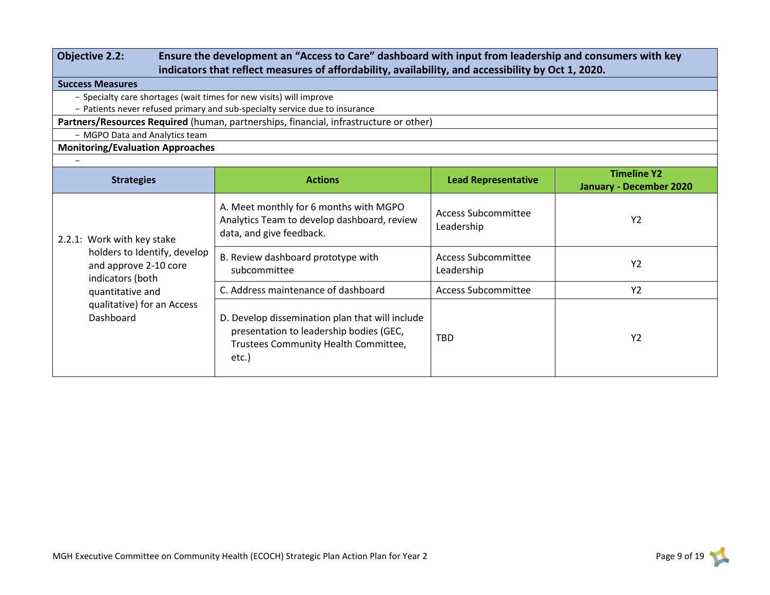| <b>Actions</b>                                                                                                                              | <b>Lead Representative</b>                                                                                                                                                                    | <b>Timeline Y2</b><br>January - December 2020                                                                                                                                                                                                                                                         |
|---------------------------------------------------------------------------------------------------------------------------------------------|-----------------------------------------------------------------------------------------------------------------------------------------------------------------------------------------------|-------------------------------------------------------------------------------------------------------------------------------------------------------------------------------------------------------------------------------------------------------------------------------------------------------|
| A. Meet monthly for 6 months with MGPO<br>Analytics Team to develop dashboard, review<br>data, and give feedback.                           | <b>Access Subcommittee</b><br>Leadership                                                                                                                                                      | Y <sub>2</sub>                                                                                                                                                                                                                                                                                        |
| B. Review dashboard prototype with<br>subcommittee                                                                                          | <b>Access Subcommittee</b><br>Leadership                                                                                                                                                      | Y2                                                                                                                                                                                                                                                                                                    |
| C. Address maintenance of dashboard                                                                                                         | <b>Access Subcommittee</b>                                                                                                                                                                    | Y <sub>2</sub>                                                                                                                                                                                                                                                                                        |
| D. Develop dissemination plan that will include<br>presentation to leadership bodies (GEC,<br>Trustees Community Health Committee,<br>etc.) | <b>TBD</b>                                                                                                                                                                                    | Y <sub>2</sub>                                                                                                                                                                                                                                                                                        |
|                                                                                                                                             | - Specialty care shortages (wait times for new visits) will improve<br>- Patients never refused primary and sub-specialty service due to insurance<br><b>Monitoring/Evaluation Approaches</b> | Ensure the development an "Access to Care" dashboard with input from leadership and consumers with key<br>indicators that reflect measures of affordability, availability, and accessibility by Oct 1, 2020.<br>Partners/Resources Required (human, partnerships, financial, infrastructure or other) |

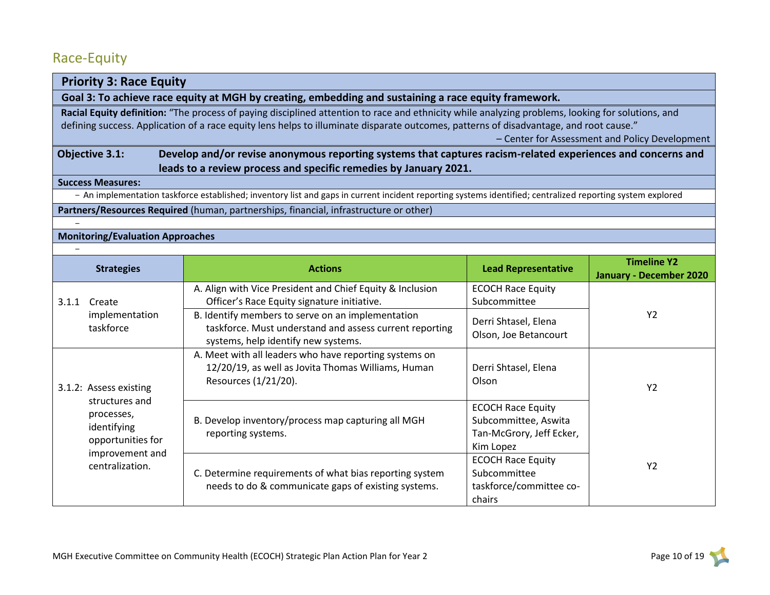#### Race-Equity

#### **Priority 3: Race Equity Goal 3: To achieve race equity at MGH by creating, embedding and sustaining a race equity framework. Racial Equity definition:** "The process of paying disciplined attention to race and ethnicity while analyzing problems, looking for solutions, and defining success. Application of a race equity lens helps to illuminate disparate outcomes, patterns of disadvantage, and root cause." – Center for Assessment and Policy Development **Objective 3.1: Develop and/or revise anonymous reporting systems that captures racism-related experiences and concerns and leads to a review process and specific remedies by January 2021. Success Measures:** - An implementation taskforce established; inventory list and gaps in current incident reporting systems identified; centralized reporting system explored **Partners/Resources Required** (human, partnerships, financial, infrastructure or other) - **Monitoring/Evaluation Approaches**  - **Strategies Actions Lead Representative Timeline Y2 January - December 2020** A. Align with Vice President and Chief Equity & Inclusion ECOCH Race Equity

<span id="page-9-0"></span>

|       |                                                                  | A. Align with Vice President and Chief Equity & Inclusion                                                                                           | <b>ECOCH Race Equity</b>                                                                  |                |
|-------|------------------------------------------------------------------|-----------------------------------------------------------------------------------------------------------------------------------------------------|-------------------------------------------------------------------------------------------|----------------|
| 3.1.1 | Create                                                           | Officer's Race Equity signature initiative.                                                                                                         | Subcommittee                                                                              |                |
|       | implementation<br>taskforce                                      | B. Identify members to serve on an implementation<br>taskforce. Must understand and assess current reporting<br>systems, help identify new systems. | Derri Shtasel, Elena<br>Olson, Joe Betancourt                                             | Y2             |
|       | 3.1.2: Assess existing                                           | A. Meet with all leaders who have reporting systems on<br>12/20/19, as well as Jovita Thomas Williams, Human<br>Resources (1/21/20).                | Derri Shtasel, Elena<br>Olson                                                             | Y <sub>2</sub> |
|       | structures and<br>processes,<br>identifying<br>opportunities for | B. Develop inventory/process map capturing all MGH<br>reporting systems.                                                                            | <b>ECOCH Race Equity</b><br>Subcommittee, Aswita<br>Tan-McGrory, Jeff Ecker,<br>Kim Lopez |                |
|       | improvement and<br>centralization.                               | C. Determine requirements of what bias reporting system<br>needs to do & communicate gaps of existing systems.                                      | <b>ECOCH Race Equity</b><br>Subcommittee<br>taskforce/committee co-<br>chairs             | Y2             |

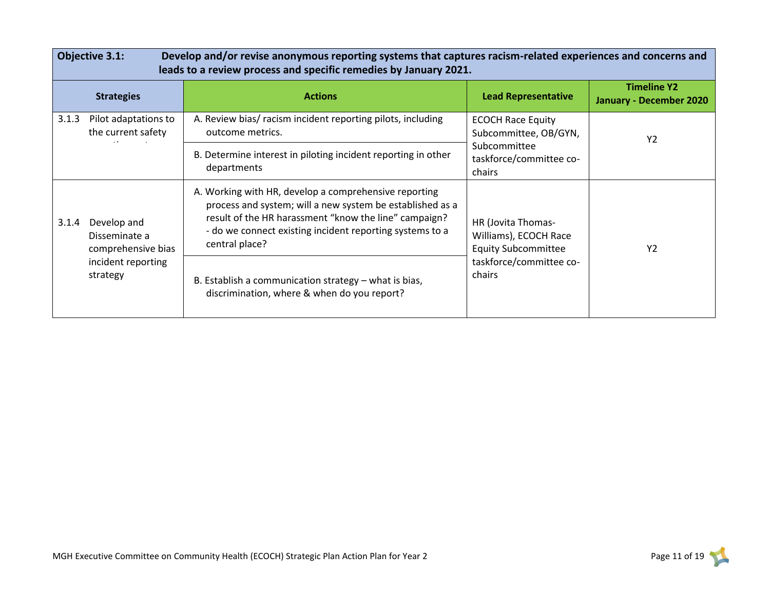|       | Objective 3.1:<br>Develop and/or revise anonymous reporting systems that captures racism-related experiences and concerns and<br>leads to a review process and specific remedies by January 2021. |                                                                                                                                                                                                                                                           |                                                                           |                                                      |  |
|-------|---------------------------------------------------------------------------------------------------------------------------------------------------------------------------------------------------|-----------------------------------------------------------------------------------------------------------------------------------------------------------------------------------------------------------------------------------------------------------|---------------------------------------------------------------------------|------------------------------------------------------|--|
|       | <b>Strategies</b>                                                                                                                                                                                 | <b>Actions</b>                                                                                                                                                                                                                                            | <b>Lead Representative</b>                                                | <b>Timeline Y2</b><br><b>January - December 2020</b> |  |
| 3.1.3 | Pilot adaptations to<br>the current safety                                                                                                                                                        | A. Review bias/racism incident reporting pilots, including<br>outcome metrics.                                                                                                                                                                            | <b>ECOCH Race Equity</b><br>Subcommittee, OB/GYN,                         | Y <sub>2</sub>                                       |  |
|       |                                                                                                                                                                                                   | B. Determine interest in piloting incident reporting in other<br>departments                                                                                                                                                                              | Subcommittee<br>taskforce/committee co-<br>chairs                         |                                                      |  |
| 3.1.4 | Develop and<br>Disseminate a<br>comprehensive bias<br>incident reporting<br>strategy                                                                                                              | A. Working with HR, develop a comprehensive reporting<br>process and system; will a new system be established as a<br>result of the HR harassment "know the line" campaign?<br>- do we connect existing incident reporting systems to a<br>central place? | HR (Jovita Thomas-<br>Williams), ECOCH Race<br><b>Equity Subcommittee</b> | Y <sub>2</sub>                                       |  |
|       |                                                                                                                                                                                                   | B. Establish a communication strategy - what is bias,<br>discrimination, where & when do you report?                                                                                                                                                      | taskforce/committee co-<br>chairs                                         |                                                      |  |

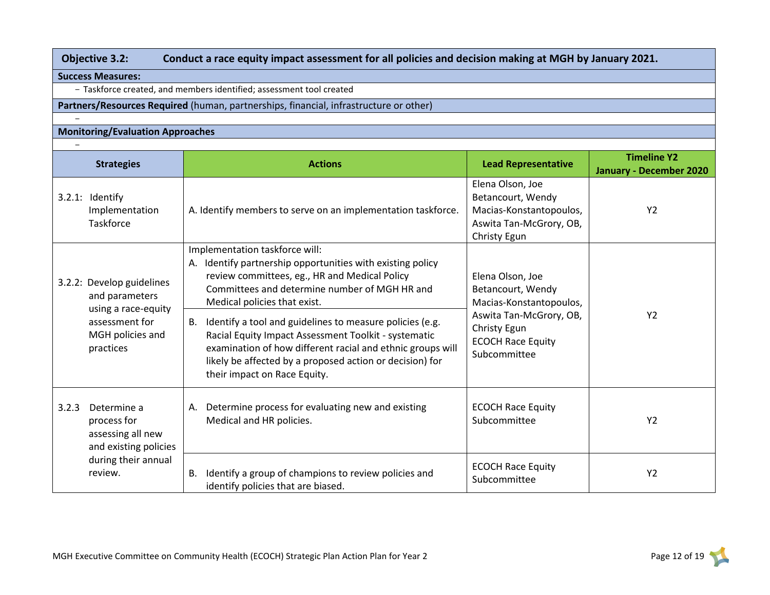**Objective 3.2: Conduct a race equity impact assessment for all policies and decision making at MGH by January 2021.**

#### **Success Measures:**

-

 $-$ 

- Taskforce created, and members identified; assessment tool created

**Partners/Resources Required** (human, partnerships, financial, infrastructure or other)

|       | <b>Strategies</b>                                                                                                     | <b>Actions</b>                                                                                                                                                                                                                                                                                                                                                                                                                                                                                                  | <b>Lead Representative</b>                                                                                                                              | <b>Timeline Y2</b><br><b>January - December 2020</b> |
|-------|-----------------------------------------------------------------------------------------------------------------------|-----------------------------------------------------------------------------------------------------------------------------------------------------------------------------------------------------------------------------------------------------------------------------------------------------------------------------------------------------------------------------------------------------------------------------------------------------------------------------------------------------------------|---------------------------------------------------------------------------------------------------------------------------------------------------------|------------------------------------------------------|
|       | 3.2.1: Identify<br>Implementation<br><b>Taskforce</b>                                                                 | A. Identify members to serve on an implementation taskforce.                                                                                                                                                                                                                                                                                                                                                                                                                                                    | Elena Olson, Joe<br>Betancourt, Wendy<br>Macias-Konstantopoulos,<br>Aswita Tan-McGrory, OB,<br>Christy Egun                                             | Y <sub>2</sub>                                       |
|       | 3.2.2: Develop guidelines<br>and parameters<br>using a race-equity<br>assessment for<br>MGH policies and<br>practices | Implementation taskforce will:<br>A. Identify partnership opportunities with existing policy<br>review committees, eg., HR and Medical Policy<br>Committees and determine number of MGH HR and<br>Medical policies that exist.<br>B. Identify a tool and guidelines to measure policies (e.g.<br>Racial Equity Impact Assessment Toolkit - systematic<br>examination of how different racial and ethnic groups will<br>likely be affected by a proposed action or decision) for<br>their impact on Race Equity. | Elena Olson, Joe<br>Betancourt, Wendy<br>Macias-Konstantopoulos,<br>Aswita Tan-McGrory, OB,<br>Christy Egun<br><b>ECOCH Race Equity</b><br>Subcommittee | Y <sub>2</sub>                                       |
| 3.2.3 | Determine a<br>process for<br>assessing all new<br>and existing policies                                              | Determine process for evaluating new and existing<br>А.<br>Medical and HR policies.                                                                                                                                                                                                                                                                                                                                                                                                                             | <b>ECOCH Race Equity</b><br>Subcommittee                                                                                                                | <b>Y2</b>                                            |
|       | during their annual<br>review.                                                                                        | Identify a group of champions to review policies and<br><b>B.</b><br>identify policies that are biased.                                                                                                                                                                                                                                                                                                                                                                                                         | <b>ECOCH Race Equity</b><br>Subcommittee                                                                                                                | <b>Y2</b>                                            |

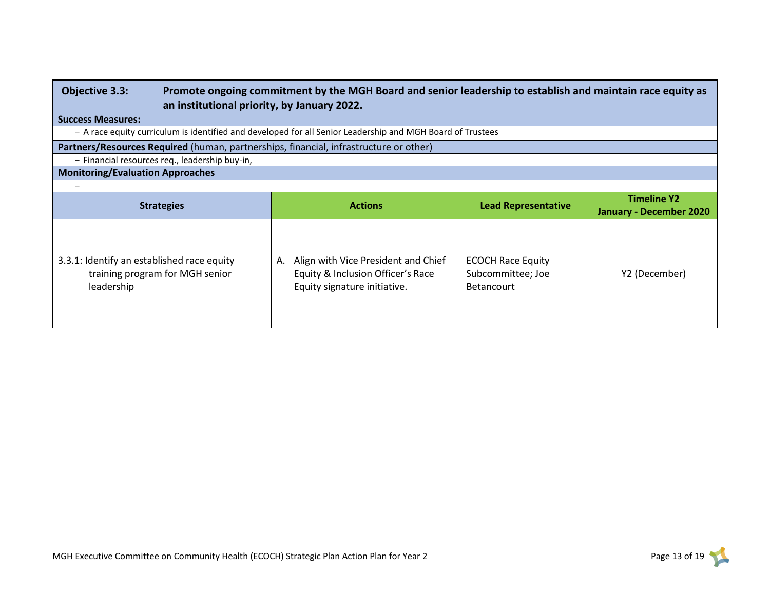#### **Objective 3.3: Promote ongoing commitment by the MGH Board and senior leadership to establish and maintain race equity as an institutional priority, by January 2022.**

#### **Success Measures:**

- A race equity curriculum is identified and developed for all Senior Leadership and MGH Board of Trustees

#### **Partners/Resources Required** (human, partnerships, financial, infrastructure or other)

- Financial resources req., leadership buy-in,

| <b>Strategies</b>                                                                           | <b>Actions</b>                                                                                                 | <b>Lead Representative</b>                                  | <b>Timeline Y2</b><br><b>January - December 2020</b> |
|---------------------------------------------------------------------------------------------|----------------------------------------------------------------------------------------------------------------|-------------------------------------------------------------|------------------------------------------------------|
| 3.3.1: Identify an established race equity<br>training program for MGH senior<br>leadership | Align with Vice President and Chief<br>А.<br>Equity & Inclusion Officer's Race<br>Equity signature initiative. | <b>ECOCH Race Equity</b><br>Subcommittee; Joe<br>Betancourt | Y2 (December)                                        |

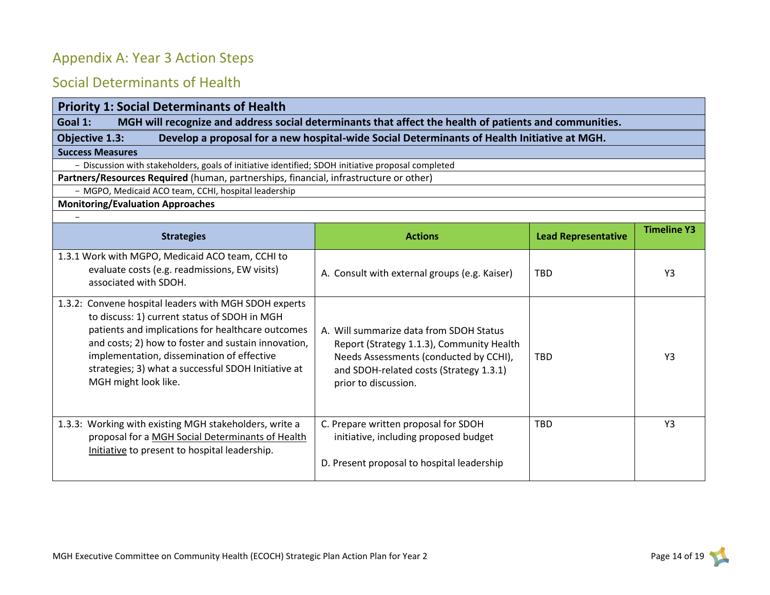#### Appendix A: Year 3 Action Steps

#### Social Determinants of Health

<span id="page-13-1"></span><span id="page-13-0"></span>

| <b>Priority 1: Social Determinants of Health</b>                                                                                                                                                                                                                                                                                               |                                                                                                                                                                                                   |                            |                    |
|------------------------------------------------------------------------------------------------------------------------------------------------------------------------------------------------------------------------------------------------------------------------------------------------------------------------------------------------|---------------------------------------------------------------------------------------------------------------------------------------------------------------------------------------------------|----------------------------|--------------------|
| Goal 1:                                                                                                                                                                                                                                                                                                                                        | MGH will recognize and address social determinants that affect the health of patients and communities.                                                                                            |                            |                    |
| Objective 1.3:                                                                                                                                                                                                                                                                                                                                 | Develop a proposal for a new hospital-wide Social Determinants of Health Initiative at MGH.                                                                                                       |                            |                    |
| <b>Success Measures</b>                                                                                                                                                                                                                                                                                                                        |                                                                                                                                                                                                   |                            |                    |
| - Discussion with stakeholders, goals of initiative identified; SDOH initiative proposal completed                                                                                                                                                                                                                                             |                                                                                                                                                                                                   |                            |                    |
| Partners/Resources Required (human, partnerships, financial, infrastructure or other)                                                                                                                                                                                                                                                          |                                                                                                                                                                                                   |                            |                    |
| - MGPO, Medicaid ACO team, CCHI, hospital leadership                                                                                                                                                                                                                                                                                           |                                                                                                                                                                                                   |                            |                    |
| <b>Monitoring/Evaluation Approaches</b>                                                                                                                                                                                                                                                                                                        |                                                                                                                                                                                                   |                            |                    |
|                                                                                                                                                                                                                                                                                                                                                |                                                                                                                                                                                                   |                            |                    |
| <b>Strategies</b>                                                                                                                                                                                                                                                                                                                              | <b>Actions</b>                                                                                                                                                                                    | <b>Lead Representative</b> | <b>Timeline Y3</b> |
| 1.3.1 Work with MGPO, Medicaid ACO team, CCHI to<br>evaluate costs (e.g. readmissions, EW visits)<br>associated with SDOH.                                                                                                                                                                                                                     | A. Consult with external groups (e.g. Kaiser)                                                                                                                                                     | <b>TBD</b>                 | Y3                 |
| 1.3.2: Convene hospital leaders with MGH SDOH experts<br>to discuss: 1) current status of SDOH in MGH<br>patients and implications for healthcare outcomes<br>and costs; 2) how to foster and sustain innovation,<br>implementation, dissemination of effective<br>strategies; 3) what a successful SDOH Initiative at<br>MGH might look like. | A. Will summarize data from SDOH Status<br>Report (Strategy 1.1.3), Community Health<br>Needs Assessments (conducted by CCHI),<br>and SDOH-related costs (Strategy 1.3.1)<br>prior to discussion. | <b>TBD</b>                 | Y3                 |
| 1.3.3: Working with existing MGH stakeholders, write a<br>proposal for a MGH Social Determinants of Health<br>Initiative to present to hospital leadership.                                                                                                                                                                                    | C. Prepare written proposal for SDOH<br>initiative, including proposed budget<br>D. Present proposal to hospital leadership                                                                       | <b>TBD</b>                 | Y3                 |

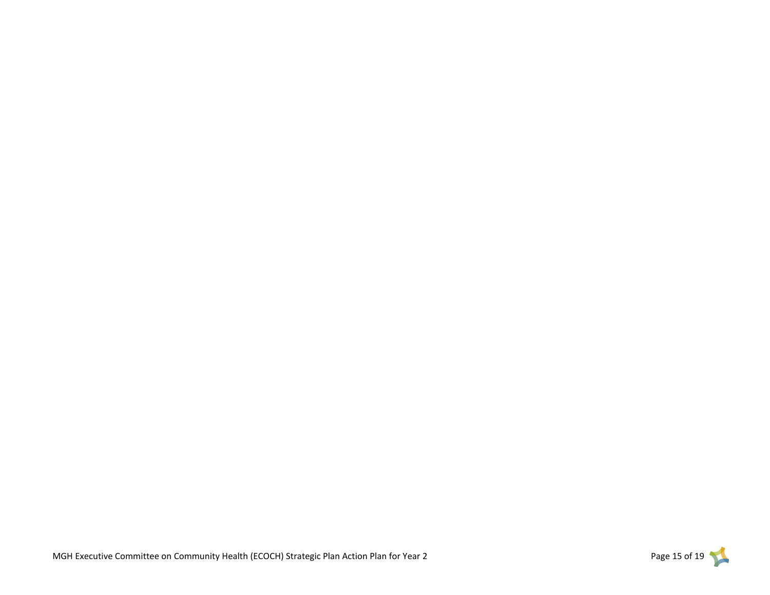

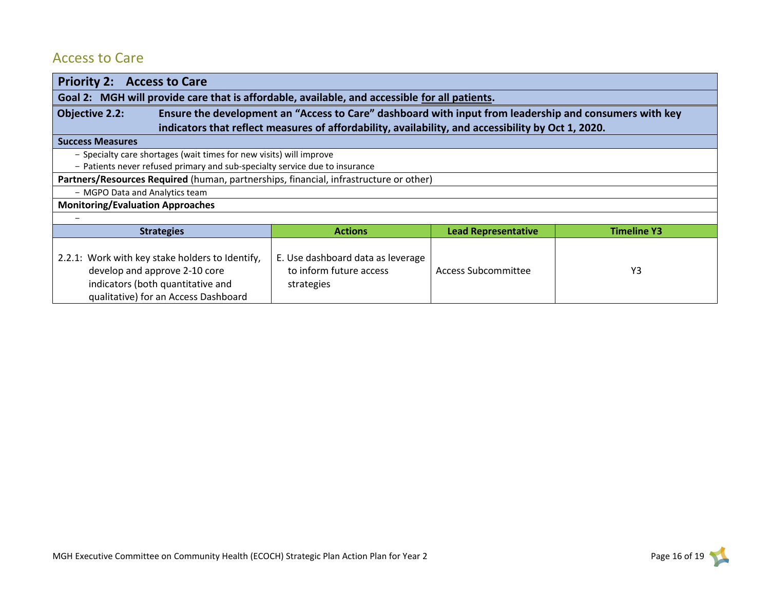#### Access to Care

<span id="page-15-0"></span>

| <b>Priority 2:</b><br><b>Access to Care</b>                                                                                                                   |                                                                            |                            |                    |  |  |  |
|---------------------------------------------------------------------------------------------------------------------------------------------------------------|----------------------------------------------------------------------------|----------------------------|--------------------|--|--|--|
| Goal 2: MGH will provide care that is affordable, available, and accessible for all patients.                                                                 |                                                                            |                            |                    |  |  |  |
| Ensure the development an "Access to Care" dashboard with input from leadership and consumers with key<br><b>Objective 2.2:</b>                               |                                                                            |                            |                    |  |  |  |
| indicators that reflect measures of affordability, availability, and accessibility by Oct 1, 2020.                                                            |                                                                            |                            |                    |  |  |  |
| <b>Success Measures</b>                                                                                                                                       |                                                                            |                            |                    |  |  |  |
| - Specialty care shortages (wait times for new visits) will improve                                                                                           |                                                                            |                            |                    |  |  |  |
| - Patients never refused primary and sub-specialty service due to insurance                                                                                   |                                                                            |                            |                    |  |  |  |
| Partners/Resources Required (human, partnerships, financial, infrastructure or other)                                                                         |                                                                            |                            |                    |  |  |  |
| - MGPO Data and Analytics team                                                                                                                                |                                                                            |                            |                    |  |  |  |
| <b>Monitoring/Evaluation Approaches</b>                                                                                                                       |                                                                            |                            |                    |  |  |  |
|                                                                                                                                                               |                                                                            |                            |                    |  |  |  |
| <b>Strategies</b>                                                                                                                                             | <b>Actions</b>                                                             | <b>Lead Representative</b> | <b>Timeline Y3</b> |  |  |  |
| 2.2.1: Work with key stake holders to Identify,<br>develop and approve 2-10 core<br>indicators (both quantitative and<br>qualitative) for an Access Dashboard | E. Use dashboard data as leverage<br>to inform future access<br>strategies | Access Subcommittee        | Y3                 |  |  |  |

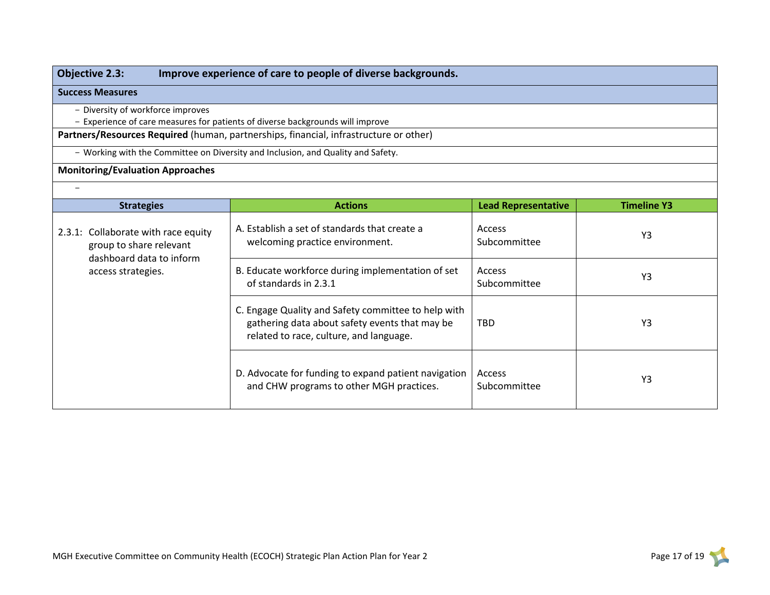-

#### **Objective 2.3: Improve experience of care to people of diverse backgrounds.**

#### **Success Measures**

- Diversity of workforce improves

- Experience of care measures for patients of diverse backgrounds will improve

**Partners/Resources Required** (human, partnerships, financial, infrastructure or other)

- Working with the Committee on Diversity and Inclusion, and Quality and Safety.

| <b>Strategies</b>                                                                                                | <b>Actions</b>                                                                                                                                   | <b>Lead Representative</b> | <b>Timeline Y3</b> |
|------------------------------------------------------------------------------------------------------------------|--------------------------------------------------------------------------------------------------------------------------------------------------|----------------------------|--------------------|
| 2.3.1: Collaborate with race equity<br>group to share relevant<br>dashboard data to inform<br>access strategies. | A. Establish a set of standards that create a<br>welcoming practice environment.                                                                 | Access<br>Subcommittee     | Y3                 |
|                                                                                                                  | B. Educate workforce during implementation of set<br>of standards in 2.3.1                                                                       | Access<br>Subcommittee     | Y3                 |
|                                                                                                                  | C. Engage Quality and Safety committee to help with<br>gathering data about safety events that may be<br>related to race, culture, and language. | <b>TBD</b>                 | Y3                 |
|                                                                                                                  | D. Advocate for funding to expand patient navigation<br>and CHW programs to other MGH practices.                                                 | Access<br>Subcommittee     | Y3                 |

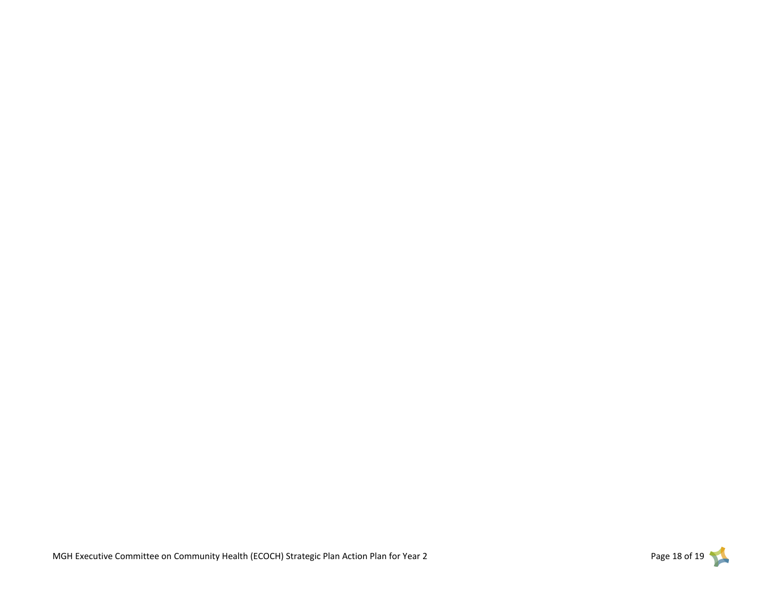